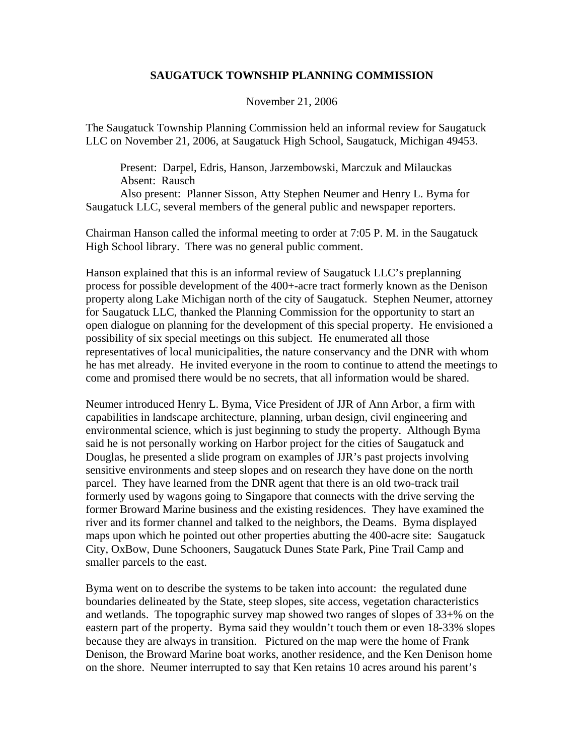## **SAUGATUCK TOWNSHIP PLANNING COMMISSION**

November 21, 2006

The Saugatuck Township Planning Commission held an informal review for Saugatuck LLC on November 21, 2006, at Saugatuck High School, Saugatuck, Michigan 49453.

 Present: Darpel, Edris, Hanson, Jarzembowski, Marczuk and Milauckas Absent: Rausch

 Also present: Planner Sisson, Atty Stephen Neumer and Henry L. Byma for Saugatuck LLC, several members of the general public and newspaper reporters.

Chairman Hanson called the informal meeting to order at 7:05 P. M. in the Saugatuck High School library. There was no general public comment.

Hanson explained that this is an informal review of Saugatuck LLC's preplanning process for possible development of the 400+-acre tract formerly known as the Denison property along Lake Michigan north of the city of Saugatuck. Stephen Neumer, attorney for Saugatuck LLC, thanked the Planning Commission for the opportunity to start an open dialogue on planning for the development of this special property. He envisioned a possibility of six special meetings on this subject. He enumerated all those representatives of local municipalities, the nature conservancy and the DNR with whom he has met already. He invited everyone in the room to continue to attend the meetings to come and promised there would be no secrets, that all information would be shared.

Neumer introduced Henry L. Byma, Vice President of JJR of Ann Arbor, a firm with capabilities in landscape architecture, planning, urban design, civil engineering and environmental science, which is just beginning to study the property. Although Byma said he is not personally working on Harbor project for the cities of Saugatuck and Douglas, he presented a slide program on examples of JJR's past projects involving sensitive environments and steep slopes and on research they have done on the north parcel. They have learned from the DNR agent that there is an old two-track trail formerly used by wagons going to Singapore that connects with the drive serving the former Broward Marine business and the existing residences. They have examined the river and its former channel and talked to the neighbors, the Deams. Byma displayed maps upon which he pointed out other properties abutting the 400-acre site: Saugatuck City, OxBow, Dune Schooners, Saugatuck Dunes State Park, Pine Trail Camp and smaller parcels to the east.

Byma went on to describe the systems to be taken into account: the regulated dune boundaries delineated by the State, steep slopes, site access, vegetation characteristics and wetlands. The topographic survey map showed two ranges of slopes of 33+% on the eastern part of the property. Byma said they wouldn't touch them or even 18-33% slopes because they are always in transition. Pictured on the map were the home of Frank Denison, the Broward Marine boat works, another residence, and the Ken Denison home on the shore. Neumer interrupted to say that Ken retains 10 acres around his parent's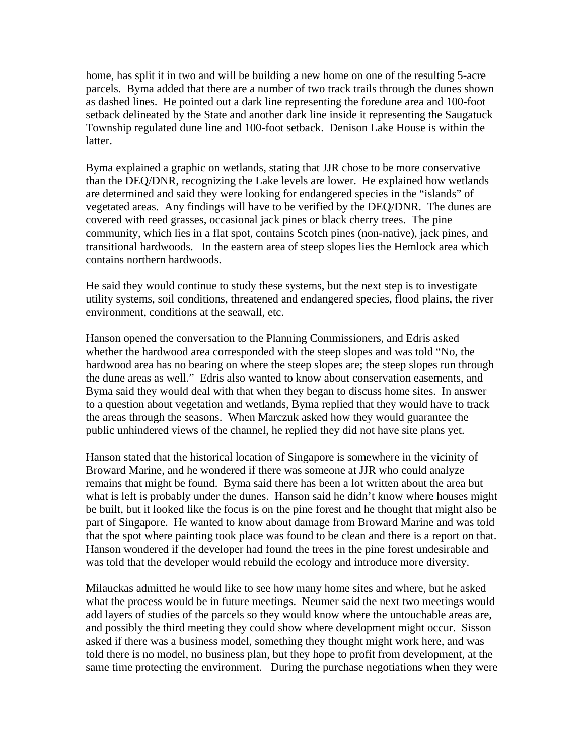home, has split it in two and will be building a new home on one of the resulting 5-acre parcels. Byma added that there are a number of two track trails through the dunes shown as dashed lines. He pointed out a dark line representing the foredune area and 100-foot setback delineated by the State and another dark line inside it representing the Saugatuck Township regulated dune line and 100-foot setback. Denison Lake House is within the latter.

Byma explained a graphic on wetlands, stating that JJR chose to be more conservative than the DEQ/DNR, recognizing the Lake levels are lower. He explained how wetlands are determined and said they were looking for endangered species in the "islands" of vegetated areas. Any findings will have to be verified by the DEQ/DNR. The dunes are covered with reed grasses, occasional jack pines or black cherry trees. The pine community, which lies in a flat spot, contains Scotch pines (non-native), jack pines, and transitional hardwoods. In the eastern area of steep slopes lies the Hemlock area which contains northern hardwoods.

He said they would continue to study these systems, but the next step is to investigate utility systems, soil conditions, threatened and endangered species, flood plains, the river environment, conditions at the seawall, etc.

Hanson opened the conversation to the Planning Commissioners, and Edris asked whether the hardwood area corresponded with the steep slopes and was told "No, the hardwood area has no bearing on where the steep slopes are; the steep slopes run through the dune areas as well." Edris also wanted to know about conservation easements, and Byma said they would deal with that when they began to discuss home sites. In answer to a question about vegetation and wetlands, Byma replied that they would have to track the areas through the seasons. When Marczuk asked how they would guarantee the public unhindered views of the channel, he replied they did not have site plans yet.

Hanson stated that the historical location of Singapore is somewhere in the vicinity of Broward Marine, and he wondered if there was someone at JJR who could analyze remains that might be found. Byma said there has been a lot written about the area but what is left is probably under the dunes. Hanson said he didn't know where houses might be built, but it looked like the focus is on the pine forest and he thought that might also be part of Singapore. He wanted to know about damage from Broward Marine and was told that the spot where painting took place was found to be clean and there is a report on that. Hanson wondered if the developer had found the trees in the pine forest undesirable and was told that the developer would rebuild the ecology and introduce more diversity.

Milauckas admitted he would like to see how many home sites and where, but he asked what the process would be in future meetings. Neumer said the next two meetings would add layers of studies of the parcels so they would know where the untouchable areas are, and possibly the third meeting they could show where development might occur. Sisson asked if there was a business model, something they thought might work here, and was told there is no model, no business plan, but they hope to profit from development, at the same time protecting the environment. During the purchase negotiations when they were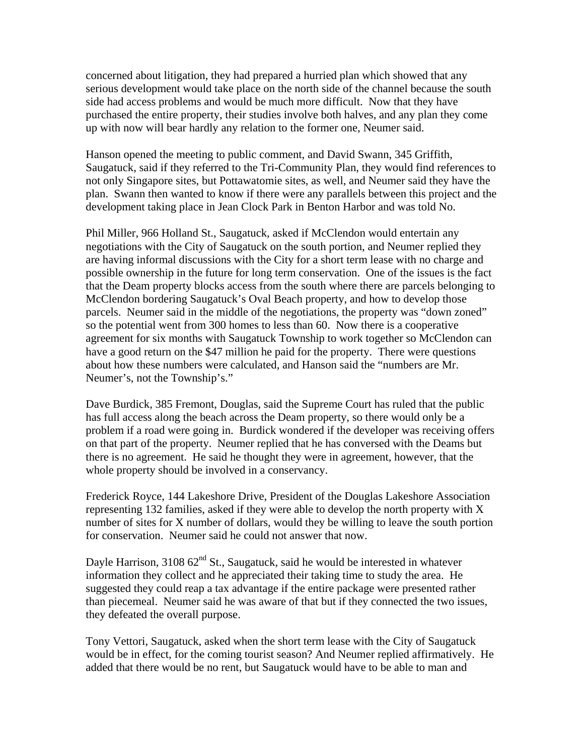concerned about litigation, they had prepared a hurried plan which showed that any serious development would take place on the north side of the channel because the south side had access problems and would be much more difficult. Now that they have purchased the entire property, their studies involve both halves, and any plan they come up with now will bear hardly any relation to the former one, Neumer said.

Hanson opened the meeting to public comment, and David Swann, 345 Griffith, Saugatuck, said if they referred to the Tri-Community Plan, they would find references to not only Singapore sites, but Pottawatomie sites, as well, and Neumer said they have the plan. Swann then wanted to know if there were any parallels between this project and the development taking place in Jean Clock Park in Benton Harbor and was told No.

Phil Miller, 966 Holland St., Saugatuck, asked if McClendon would entertain any negotiations with the City of Saugatuck on the south portion, and Neumer replied they are having informal discussions with the City for a short term lease with no charge and possible ownership in the future for long term conservation. One of the issues is the fact that the Deam property blocks access from the south where there are parcels belonging to McClendon bordering Saugatuck's Oval Beach property, and how to develop those parcels. Neumer said in the middle of the negotiations, the property was "down zoned" so the potential went from 300 homes to less than 60. Now there is a cooperative agreement for six months with Saugatuck Township to work together so McClendon can have a good return on the \$47 million he paid for the property. There were questions about how these numbers were calculated, and Hanson said the "numbers are Mr. Neumer's, not the Township's."

Dave Burdick, 385 Fremont, Douglas, said the Supreme Court has ruled that the public has full access along the beach across the Deam property, so there would only be a problem if a road were going in. Burdick wondered if the developer was receiving offers on that part of the property. Neumer replied that he has conversed with the Deams but there is no agreement. He said he thought they were in agreement, however, that the whole property should be involved in a conservancy.

Frederick Royce, 144 Lakeshore Drive, President of the Douglas Lakeshore Association representing 132 families, asked if they were able to develop the north property with X number of sites for X number of dollars, would they be willing to leave the south portion for conservation. Neumer said he could not answer that now.

Dayle Harrison,  $310862^{nd}$  St., Saugatuck, said he would be interested in whatever information they collect and he appreciated their taking time to study the area. He suggested they could reap a tax advantage if the entire package were presented rather than piecemeal. Neumer said he was aware of that but if they connected the two issues, they defeated the overall purpose.

Tony Vettori, Saugatuck, asked when the short term lease with the City of Saugatuck would be in effect, for the coming tourist season? And Neumer replied affirmatively. He added that there would be no rent, but Saugatuck would have to be able to man and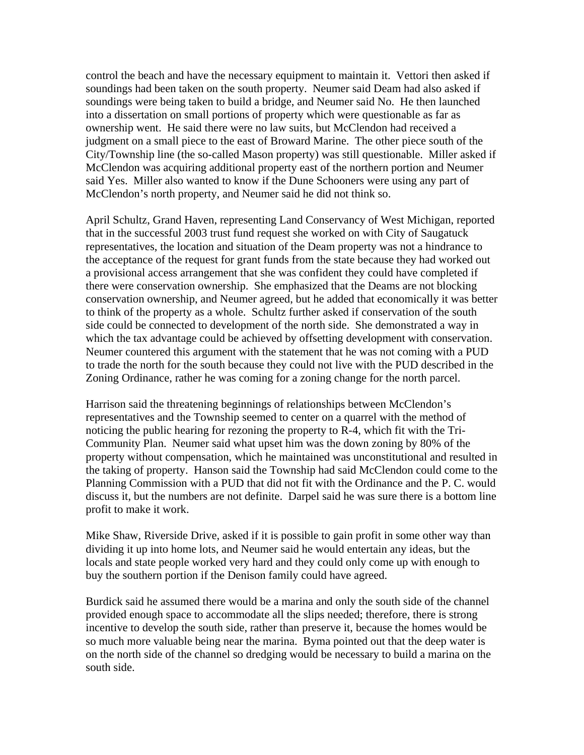control the beach and have the necessary equipment to maintain it. Vettori then asked if soundings had been taken on the south property. Neumer said Deam had also asked if soundings were being taken to build a bridge, and Neumer said No. He then launched into a dissertation on small portions of property which were questionable as far as ownership went. He said there were no law suits, but McClendon had received a judgment on a small piece to the east of Broward Marine. The other piece south of the City/Township line (the so-called Mason property) was still questionable. Miller asked if McClendon was acquiring additional property east of the northern portion and Neumer said Yes. Miller also wanted to know if the Dune Schooners were using any part of McClendon's north property, and Neumer said he did not think so.

April Schultz, Grand Haven, representing Land Conservancy of West Michigan, reported that in the successful 2003 trust fund request she worked on with City of Saugatuck representatives, the location and situation of the Deam property was not a hindrance to the acceptance of the request for grant funds from the state because they had worked out a provisional access arrangement that she was confident they could have completed if there were conservation ownership. She emphasized that the Deams are not blocking conservation ownership, and Neumer agreed, but he added that economically it was better to think of the property as a whole. Schultz further asked if conservation of the south side could be connected to development of the north side. She demonstrated a way in which the tax advantage could be achieved by offsetting development with conservation. Neumer countered this argument with the statement that he was not coming with a PUD to trade the north for the south because they could not live with the PUD described in the Zoning Ordinance, rather he was coming for a zoning change for the north parcel.

Harrison said the threatening beginnings of relationships between McClendon's representatives and the Township seemed to center on a quarrel with the method of noticing the public hearing for rezoning the property to R-4, which fit with the Tri-Community Plan. Neumer said what upset him was the down zoning by 80% of the property without compensation, which he maintained was unconstitutional and resulted in the taking of property. Hanson said the Township had said McClendon could come to the Planning Commission with a PUD that did not fit with the Ordinance and the P. C. would discuss it, but the numbers are not definite. Darpel said he was sure there is a bottom line profit to make it work.

Mike Shaw, Riverside Drive, asked if it is possible to gain profit in some other way than dividing it up into home lots, and Neumer said he would entertain any ideas, but the locals and state people worked very hard and they could only come up with enough to buy the southern portion if the Denison family could have agreed.

Burdick said he assumed there would be a marina and only the south side of the channel provided enough space to accommodate all the slips needed; therefore, there is strong incentive to develop the south side, rather than preserve it, because the homes would be so much more valuable being near the marina. Byma pointed out that the deep water is on the north side of the channel so dredging would be necessary to build a marina on the south side.